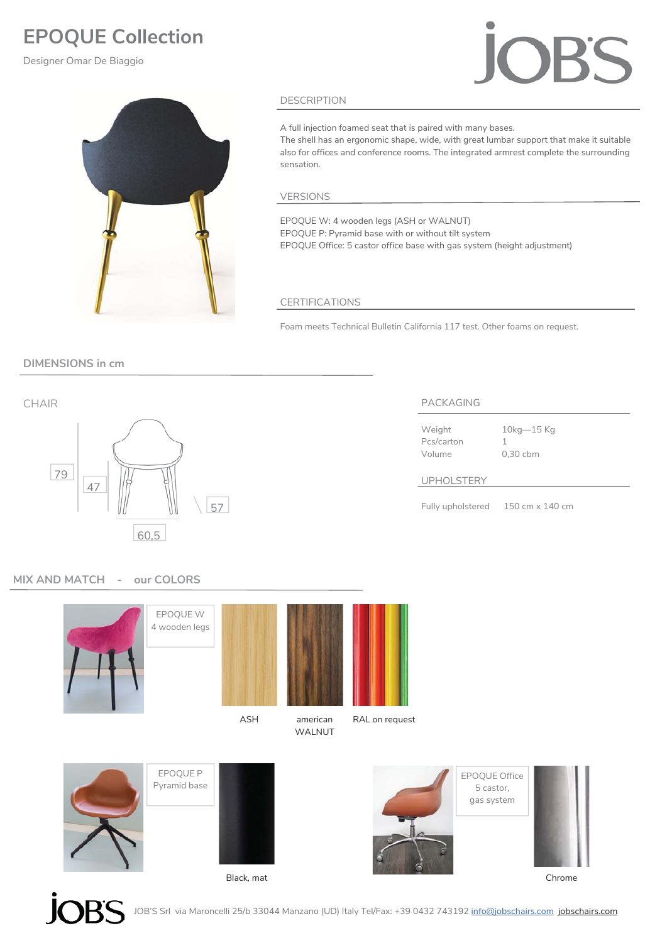# **EPOQUE Collection**

Designer Omar De Biaggio



# DESCRIPTION

A full injection foamed seat that is paired with many bases.

The shell has an ergonomic shape, wide, with great lumbar support that make it suitable also for offices and conference rooms. The integrated armrest complete the surrounding sensation.

### VERSIONS

EPOQUE W: 4 wooden legs (ASH or WALNUT) EPOQUE P: Pyramid base with or without tilt system EPOQUE Office: 5 castor office base with gas system (height adjustment)

# CERTIFICATIONS

Foam meets Technical Bulletin California 117 test. Other foams on request.

# **DIMENSIONS in cm**



Pcs/carton 1

Weight 10kg-15 Kg Volume 0,30 cbm

# UPHOLSTERY

Fully upholstered 150 cm x 140 cm

# **MIX AND MATCH - our COLORS**



JOB'S Srl via Maroncelli 25/b 33044 Manzano (UD) Italy Tel/Fax: +39 0432 743192 <u>info@jobschairs.com</u> j<mark>obschairs.com</mark>